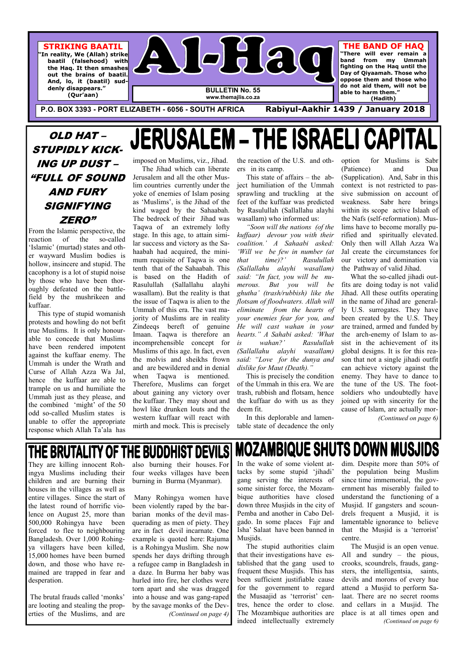

**www.themajlis.co.za** 

**P.O. BOX 3393 - PORT ELIZABETH - 6056 - SOUTH AFRICA Rabiyul-Aakhir 1439 / January 2018** 

**STRIKING BAATIL "In reality, We (Allah) strike** 

 **baatil (falsehood) with the Haq. It then smashes out the brains of baatil. And, lo, it (baatil) suddenly disappears." (Qur'aan)** 

### **THE BAND OF HAQ**

**"There will ever remain a band from my Ummah fighting on the Haq until the Day of Qiyaamah. Those who oppose them and those who do not aid them, will not be able to harm them." (Hadith)** 

### THE BRUTALITY OF THE BUDDHIST DEVI They are killing innocent Rohalso burning their houses. For

ingya Muslims including their children and are burning their houses in the villages as well as entire villages. Since the start of Many Rohingya women have the latest round of horrific violence on August 25, more than 500,000 Rohingya have been forced to flee to neighbouring Bangladesh. Over 1,000 Rohingya villagers have been killed, 15,000 homes have been burned down, and those who have remained are trapped in fear and desperation.

 The brutal frauds called 'monks' are looting and stealing the properties of the Muslims, and are

four weeks villages have been burning in Burma (Myanmar).

been violently raped by the barbarian monks of the devil masquerading as men of piety. They are in fact devil incarnate. One example is quoted here: Rajuma is a Rohingya Muslim. She now spends her days drifting through a refugee camp in Bangladesh in a daze. In Burma her baby was hurled into fire, her clothes were torn apart and she was dragged into a house and was gang-raped by the savage monks of the Dev- *(Continued on page 4)* 

### OLD HAT – STUPIDLY KICK-ING UP DUST – "FULL OF SOUND AND FURY SIGNIFYING ZERO"

From the Islamic perspective, the reaction of the so-called 'Islamic' (murtad) states and other wayward Muslim bodies is hollow, insincere and stupid. The cacophony is a lot of stupid noise by those who have been thoroughly defeated on the battlefield by the mushrikeen and kuffaar.

 This type of stupid womanish protests and howling do not befit true Muslims. It is only honourable to concede that Muslims have been rendered impotent against the kuffaar enemy. The Ummah is under the Wrath and Curse of Allah Azza Wa Jal, hence the kuffaar are able to trample on us and humiliate the Ummah just as they please, and the combined 'might' of the 50 odd so-called Muslim states is unable to offer the appropriate response which Allah Ta'ala has imposed on Muslims, viz., Jihad. The Jihad which can liberate

**JERUSALI** 

**MOZAMBIQUE SHUTS DOWN MUSJIDS** In the wake of some violent attacks by some stupid 'jihadi' gang serving the interests of some sinister force, the Mozam-

Jerusalem and all the other Muslim countries currently under the yoke of enemies of Islam posing as 'Muslims', is the Jihad of the kind waged by the Sahaabah. The bedrock of their Jihad was Taqwa of an extremely lofty stage. In this age, to attain similar success and victory as the Sahaabah had acquired, the minimum requisite of Taqwa is one tenth that of the Sahaabah. This is based on the Hadith of Rasulullah (Sallallahu alayhi wasallam). But the reality is that the issue of Taqwa is alien to the Ummah of this era. The vast majority of Muslims are in reality Zindeeqs bereft of genuine Imaan. Taqwa is therefore an incomprehensible concept for Muslims of this age. In fact, even the molvis and sheikhs frown and are bewildered and in denial when Taqwa is mentioned. Therefore, Muslims can forget about gaining any victory over the kuffaar. They may shout and howl like drunken louts and the western kuffaar will react with mirth and mock. This is precisely

the reaction of the U.S. and others in its camp.

EM – THE ISRAELI CAPITAL

 This state of affairs – the abject humiliation of the Ummah sprawling and truckling at the feet of the kuffaar was predicted by Rasulullah (Sallallahu alayhi wasallam) who informed us:

*"Soon will the nations (of the kuffaar) devour you with their coalition.' A Sahaabi asked: 'Will we be few in number (at that time)?' Rasulullah (Sallallahu alayhi wasallam) said: "In fact, you will be numerous. But you will be ghutha' (trash/rubbish) like the flotsam of floodwaters. Allah will eliminate from the hearts of your enemies fear for you, and He will cast wahan in your hearts." A Sahabi asked: 'What is wahan?' Rasulullah (Sallallahu alayhi wasallam) said: "Love for the dunya and dislike for Maut (Death)."* 

 This is precisely the condition of the Ummah in this era. We are trash, rubbish and flotsam, hence the kuffaar do with us as they deem fit.

 In this deplorable and lamentable state of decadence the only option for Muslims is Sabr (Patience) and Dua (Supplication). And, Sabr in this context is not restricted to passive submission on account of weakness. Sabr here brings within its scope active Islaah of the Nafs (self-reformation). Muslims have to become morally purified and spiritually elevated. Only then will Allah Azza Wa Jal create the circumstances for our victory and domination via the Pathway of valid Jihad.

 What the so-called jihadi outfits are doing today is not valid Jihad. All these outfits operating in the name of Jihad are generally U.S. surrogates. They have been created by the U.S. They are trained, armed and funded by the arch-enemy of Islam to assist in the achievement of its global designs. It is for this reason that not a single jihadi outfit can achieve victory against the enemy. They have to dance to the tune of the US. The footsoldiers who undoubtedly have joined up with sincerity for the cause of Islam, are actually mor-

*(Continued on page 6)* 

bique authorities have closed down three Musjids in the city of Pemba and another in Cabo Delgado. In some places Fajr and Isha' Salaat have been banned in Musjids.

 The stupid authorities claim that their investigations have established that the gang used to frequent these Musjids. This has been sufficient justifiable cause for the government to regard the Musaajid as 'terrorist' centres, hence the order to close. The Mozambique authorities are indeed intellectually extremely

dim. Despite more than 50% of the population being Muslim since time immemorial, the government has miserably failed to understand the functioning of a Musjid. If gangsters and scoundrels frequent a Musjid, it is lamentable ignorance to believe that the Musjid is a 'terrorist' centre. The Musjid is an open venue. All and sundry – the pious, crooks, scoundrels, frauds, gangsters, the intelligentsia, saints, devils and morons of every hue attend a Musjid to perform Salaat. There are no secret rooms and cellars in a Musjid. The place is at all times open and *(Continued on page 6)*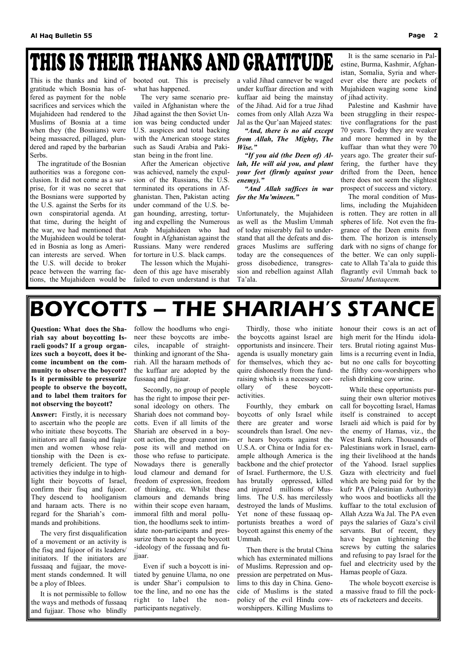## THIS IS THEIR THANKS AND GRATITUDE

This is the thanks and kind of gratitude which Bosnia has offered as payment for the noble sacrifices and services which the Mujahideen had rendered to the Muslims of Bosnia at a time when they (the Bosnians) were being massacred, pillaged, plundered and raped by the barbarian Serbs.

 The ingratitude of the Bosnian authorities was a foregone conclusion. It did not come as a surprise, for it was no secret that the Bosnians were supported by the U.S. against the Serbs for its own conspiratorial agenda. At that time, during the height of the war, we had mentioned that the Mujahideen would be tolerated in Bosnia as long as American interests are served. When the U.S. will decide to broker peace between the warring factions, the Mujahideen would be

booted out. This is precisely what has happened.

 The very same scenario prevailed in Afghanistan where the Jihad against the then Soviet Union was being conducted under U.S. auspices and total backing with the American stooge states such as Saudi Arabia and Pakistan being in the front line.

 After the American objective was achieved, namely the expulsion of the Russians, the U.S. terminated its operations in Afghanistan. Then, Pakistan acting under command of the U.S. began hounding, arresting, torturing and expelling the Numerous Arab Mujahideen who had fought in Afghanistan against the Russians. Many were rendered for torture in U.S. black camps.

 The lesson which the Mujahideen of this age have miserably failed to even understand is that a valid Jihad cannever be waged under kuffaar direction and with kuffaar aid being the mainstay of the Jihad. Aid for a true Jihad comes from only Allah Azza Wa Jal as the Qur'aan Majeed states:

*"And, there is no aid except from Allah, The Mighty, The Wise."* 

 *"If you aid (the Deen of) Allah, He will aid you, and plant your feet (firmly against your enemy)."* 

 *"And Allah suffices in war for the Mu'mineen."*

Unfortunately, the Mujahideen as well as the Muslim Ummah of today miserably fail to understand that all the defeats and disgraces Muslims are suffering today are the consequences of gross disobedience, transgression and rebellion against Allah Ta'ala.

 It is the same scenario in Palestine, Burma, Kashmir, Afghanistan, Somalia, Syria and wherever else there are pockets of Mujahideen waging some kind of jihad activity.

 Palestine and Kashmir have been struggling in their respective conflagrations for the past 70 years. Today they are weaker and more hemmed in by the kuffaar than what they were 70 years ago. The greater their suffering, the further have they drifted from the Deen, hence there does not seem the slightest prospect of success and victory.

 The moral condition of Muslims, including the Mujahideen is rotten. They are rotten in all spheres of life. Not even the fragrance of the Deen emits from them. The horizon is intensely dark with no signs of change for the better. We can only supplicate to Allah Ta'ala to guide this flagrantly evil Ummah back to *Siraatul Mustaqeem.*

## BOYCOTTS – THE SHARIAH'S STANCE

**Question: What does the Shariah say about boycotting Israeli goods? If a group organizes such a boycott, does it become incumbent on the community to observe the boycott? Is it permissible to pressurize people to observe the boycott, and to label them traitors for not observing the boycott?** 

**Answer:** Firstly, it is necessary to ascertain who the people are who initiate these boycotts. The initiators are all faasiq and faajir men and women whose relationship with the Deen is extremely deficient. The type of activities they indulge in to highlight their boycotts of Israel, confirm their fisq and fujoor. They descend to hooliganism and haraam acts. There is no regard for the Shariah's commands and prohibitions.

 The very first disqualification of a movement or an activity is the fisq and fujoor of its leaders/ initiators. If the initiators are fussaaq and fujjaar, the movement stands condemned. It will be a ploy of Iblees.

 It is not permissible to follow the ways and methods of fussaaq and fujjaar. Those who blindly

follow the hoodlums who engineer these boycotts are imbeciles, incapable of straightthinking and ignorant of the Shariah. All the haraam methods of the kuffaar are adopted by the fussaaq and fujjaar.

 Secondly, no group of people has the right to impose their personal ideology on others. The Shariah does not command boycotts. Even if all limits of the Shariah are observed in a boycott action, the group cannot impose its will and method on those who refuse to participate. Nowadays there is generally loud clamour and demand for freedom of expression, freedom of thinking, etc. Whilst these clamours and demands bring within their scope even haraam, immoral filth and moral pollution, the hoodlums seek to intimidate non-participants and pressurize them to accept the boycott -ideology of the fussaaq and fujjaar.

 Even if such a boycott is initiated by genuine Ulama, no one is under Shar'i compulsion to toe the line, and no one has the right to label the nonparticipants negatively.

 Thirdly, those who initiate the boycotts against Israel are opportunists and insincere. Their agenda is usually monetary gain for themselves, which they acquire dishonestly from the fundraising which is a necessary corollary of these boycottactivities.

 Fourthly, they embark on boycotts of only Israel while there are greater and worse scoundrels than Israel. One never hears boycotts against the U.S.A. or China or India for example although America is the backbone and the chief protector of Israel. Furthermore, the U.S. has brutally oppressed, killed and injured millions of Muslims. The U.S. has mercilessly destroyed the lands of Muslims. Yet none of these fussaaq opportunists breathes a word of boycott against this enemy of the Ummah.

 Then there is the brutal China which has exterminated millions of Muslims. Repression and oppression are perpetrated on Muslims to this day in China. Genocide of Muslims is the stated policy of the evil Hindu cowworshippers. Killing Muslims to

honour their cows is an act of high merit for the Hindu idolaters. Brutal rioting against Muslims is a recurring event in India, but no one calls for boycotting the filthy cow-worshippers who relish drinking cow urine.

 While these opportunists pursuing their own ulterior motives call for boycotting Israel, Hamas itself is constrained to accept Israeli aid which is paid for by the enemy of Hamas, viz., the West Bank rulers. Thousands of Palestinians work in Israel, earning their livelihood at the hands of the Yahood. Israel supplies Gaza with electricity and fuel which are being paid for by the kufr PA (Palestinian Authority) who woos and bootlicks all the kuffaar to the total exclusion of Allah Azza Wa Jal. The PA even pays the salaries of Gaza's civil servants. But of recent, they have begun tightening the screws by cutting the salaries and refusing to pay Israel for the fuel and electricity used by the Hamas people of Gaza.

 The whole boycott exercise is a massive fraud to fill the pockets of racketeers and deceits.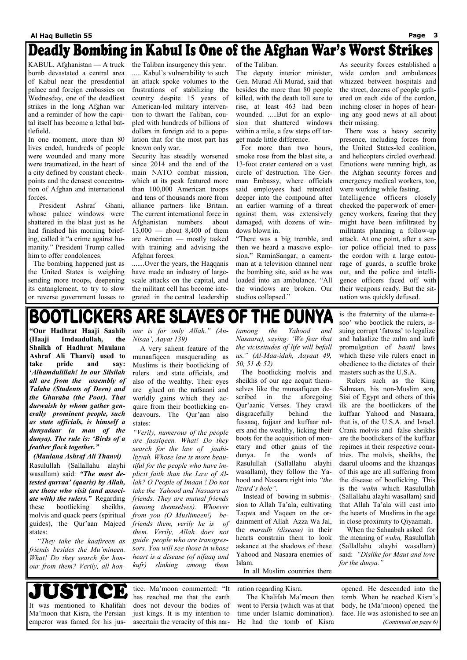### Deadly Bombing in Kabul Is One of the Afghan War's Worst Strikes

KABUL, Afghanistan — A truck bomb devastated a central area of Kabul near the presidential palace and foreign embassies on Wednesday, one of the deadliest strikes in the long Afghan war and a reminder of how the capital itself has become a lethal battlefield.

In one moment, more than 80 lives ended, hundreds of people were wounded and many more were traumatized, in the heart of a city defined by constant checkpoints and the densest concentration of Afghan and international forces.

 President Ashraf Ghani, whose palace windows were shattered in the blast just as he had finished his morning briefing, called it "a crime against humanity." President Trump called him to offer condolences.

 The bombing happened just as the United States is weighing sending more troops, deepening its entanglement, to try to slow or reverse government losses to the Taliban insurgency this year. ..... Kabul's vulnerability to such an attack spoke volumes to the frustrations of stabilizing the country despite 15 years of American-led military intervention to thwart the Taliban, coupled with hundreds of billions of dollars in foreign aid to a population that for the most part has known only war.

Security has steadily worsened since 2014 and the end of the main NATO combat mission, which at its peak featured more than 100,000 American troops and tens of thousands more from alliance partners like Britain. The current international force in Afghanistan numbers about 13,000 — about 8,400 of them are American — mostly tasked with training and advising the Afghan forces.

.......Over the years, the Haqqanis have made an industry of largescale attacks on the capital, and the militant cell has become integrated in the central leadership of the Taliban.

The deputy interior minister, Gen. Murad Ali Murad, said that besides the more than 80 people killed, with the death toll sure to rise, at least 463 had been wounded. .....But for an explosion that shattered windows within a mile, a few steps off target made little difference.

 For more than two hours, smoke rose from the blast site, a 13-foot crater centered on a vast circle of destruction. The German Embassy, where officials said employees had retreated deeper into the compound after an earlier warning of a threat against them, was extensively damaged, with dozens of windows blown in.

"There was a big tremble, and then we heard a massive explosion," RaminSangar, a cameraman at a television channel near the bombing site, said as he was loaded into an ambulance. "All the windows are broken. Our studios collapsed."

As security forces established a wide cordon and ambulances whizzed between hospitals and the street, dozens of people gathered on each side of the cordon, inching closer in hopes of hearing any good news at all about their missing.

 There was a heavy security presence, including forces from the United States-led coalition, and helicopters circled overhead. Emotions were running high, as the Afghan security forces and emergency medical workers, too, were working while fasting.

Intelligence officers closely checked the paperwork of emergency workers, fearing that they might have been infiltrated by militants planning a follow-up attack. At one point, after a senior police official tried to pass the cordon with a large entourage of guards, a scuffle broke out, and the police and intelligence officers faced off with their weapons ready. But the situation was quickly defused.

## **BOOTLICKERS ARE SLAVES OF THE DUNYA**

**"Our Hadhrat Haaji Saahib (Haaji Imdaadullah, the Shaikh of Hadhrat Maulana Ashraf Ali Thanvi) used to take pride and say: '***Alhamdulillah! In our Silsilah all are from the assembly of Talaba (Students of Deen) and the Ghuraba (the Poor). That durwaish by whom gather generally prominent people, such as state officials, is himself a dunyadaar (a man of the dunya). The rule is: 'Birds of a feather flock together."* 

USTI CD tice. Ma'moon commented: "It ration regarding Kisra. opened. He descended into the has reached me that the earth The Khalifah Ma'moon then tomb. When he reached Kisra's It was mentioned to Khalifah does not devour the bodies of went to Persia (which was at that body, he (Ma'moon) opened the Ma'moon that Kisra, the Persian just kings. It is my intention to time under Islamic domination). face. He was astonished to see an emperor was famed for his jusascertain the veracity of this nar-He had the tomb of Kisra *(Continued on page 6)* 

*(Maulana Ashraf Ali Thanvi)*  Rasulullah (Sallallahu alayhi wasallam) said: *"The most detested qurraa' (qaaris) by Allah, are those who visit (and associate with) the rulers."* Regarding these bootlicking sheikhs, molvis and quack peers (spiritual guides), the Qur'aan Majeed states:

*"They take the kaafireen as friends besides the Mu'mineen. What! Do they search for honour from them? Verily, all hon-*

*our is for only Allah." (An-Nisaa', Aayat 139)* 

 A very salient feature of the munaafiqeen masquerading as Muslims is their bootlicking of rulers and state officials, and also of the wealthy. Their eyes are glued on the nafsaani and worldly gains which they acquire from their bootlicking endeavours. The Qur'aan also states:

*"Verily, numerous of the people are faasiqeen. What! Do they search for the law of jaahiliyyah. Whose law is more beautiful for the people who have implicit faith than the Law of Allah? O People of Imaan ! Do not take the Yahood and Nasaara as friends. They are mutual friends (among themselves). Whoever from you (O Muslimeen!) befriends them, verily he is of them. Verily, Allah does not guide people who are transgressors. You will see those in whose heart is a disease (of nifaaq and kufr) slinking among them* 

*(among the Yahood and Nasaara), saying: 'We fear that the vicissitudes of life will befall us." (Al-Maa-idah, Aayaat 49, 50, 51 & 52)* 

 The bootlicking molvis and sheikhs of our age acquit themselves like the munaafiqeen described in the aforegoing Qur'aanic Verses. They crawl disgracefully behind the fussaaq, fujjaar and kuffaar rulers and the wealthy, licking their boots for the acquisition of monetary and other gains of the dunya. In the words of Rasulullah (Sallallahu alayhi wasallam), they follow the Yahood and Nasaara right into *"the lizard's hole".* 

Instead of bowing in submis-

sion to Allah Ta'ala, cultivating Taqwa and Yaqeen on the ordainment of Allah Azza Wa Jal, the *maradh (disease)* in their hearts constrain them to look askance at the shadows of these Yahood and Nasaara enemies of Islam.

In all Muslim countries there

is the fraternity of the ulama-esoo' who bootlick the rulers, issuing corrupt 'fatwas' to legalize and halaalize the zulm and kufr promulgation of *baatil* laws which these vile rulers enact in obedience to the dictates of their masters such as the U.S.A.

 Rulers such as the King Salmaan, his non-Muslim son, Sisi of Egypt and others of this ilk are the bootlickers of the kuffaar Yahood and Nasaara, that is, of the U.S.A. and Israel. Crank molvis and false sheikhs are the bootlickers of the kuffaar regimes in their respective countries. The molvis, sheikhs, the daarul ulooms and the khaanqas of this age are all suffering from the disease of bootlicking. This is the *wahn* which Rasulullah (Sallallahu alayhi wasallam) said that Allah Ta'ala will cast into the hearts of Muslims in the age in close proximity to Qiyaamah. When the Sahaabah asked for the meaning of *wahn,* Rasulullah (Sallallahu alayhi wasallam) said: *"Dislike for Maut and love for the dunya."*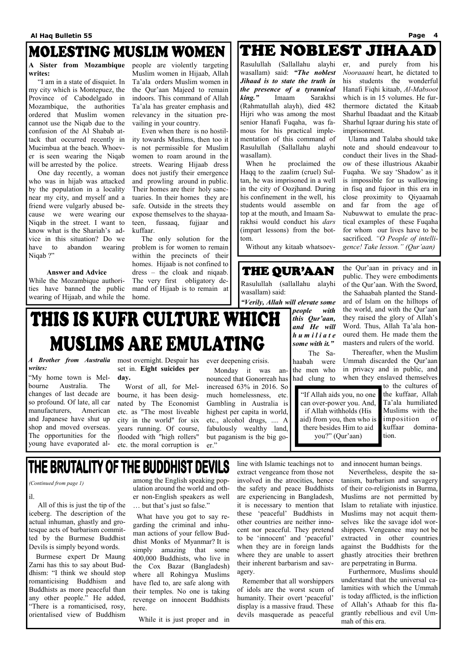### MOLESTING MUSLIM WOMEN

 "I am in a state of disquiet. In my city which is Montepuez, the Province of Cabodelgado in Mozambique, the authorities ordered that Muslim women cannot use the Niqab due to the confusion of the Al Shabab attack that occurred recently in Mucimbua at the beach. Whoever is seen wearing the Niqab will be arrested by the police.

### **A Sister from Mozambique**  people are violently targeting **writes:**

 One day recently, a woman who was in hijab was attacked by the population in a locality near my city, and myself and a friend were vulgarly abused because we were wearing our Niqab in the street. I want to know what is the Shariah's advice in this situation? Do we have to abandon wearing Niqab ?"

**Answer and Advice** 

While the Mozambique authorities have banned the public wearing of Hijaab, and while the

Muslim women in Hijaab, Allah Ta'ala orders Muslim women in the Qur'aan Majeed to remain indoors. This command of Allah Ta'ala has greater emphasis and relevancy in the situation prevailing in your country.

 Even when there is no hostility towards Muslims, then too it is not permissible for Muslim women to roam around in the streets. Wearing Hijaab dress does not justify their emergence and prowling around in public. Their homes are their holy sanctuaries. In their homes they are safe. Outside in the streets they expose themselves to the shayaateen, fussaaq, fujjaar and kuffaar.

 The only solution for the problem is for women to remain within the precincts of their homes. Hijaab is not confined to dress – the cloak and niqaab. The very first obligatory demand of Hijaab is to remain at home.

### THE NOBLEST JIHAAD

il.

 All of this is just the tip of the iceberg. The description of the actual inhuman, ghastly and grotesque acts of barbarism committed by the Burmese Buddhist Devils is simply beyond words.

 Burmese expert Dr Maung Zarni has this to say about Buddhism: "I think we should stop romanticising Buddhism and Buddhists as more peaceful than any other people." He added, "There is a romanticised, rosy, orientalised view of Buddhism

among the English speaking population around the world and other non-English speakers as well … but that's just so false."

 What have you got to say regarding the criminal and inhuman actions of your fellow Buddhist Monks of Myanmar? It is simply amazing that some 400,000 Buddhists, who live in the Cox Bazar (Bangladesh) where all Rohingya Muslims have fled to, are safe along with their temples. No one is taking revenge on innocent Buddhists here.

While it is just proper and in

line with Islamic teachings not to extract vengeance from those not involved in the atrocities, hence the safety and peace Buddhists are experiencing in Bangladesh, it is necessary to mention that these 'peaceful' Buddhists in other countries are neither innocent nor peaceful. They pretend to be 'innocent' and 'peaceful' when they are in foreign lands where they are unable to assert their inherent barbarism and savagery.

### **MUSLIMS ARE EMULATING** *A Brother from Australia*  most overnight. Despair has *writes:*

 Remember that all worshippers of idols are the worst scum of humanity. Their overt 'peaceful' display is a massive fraud. These devils masquerade as peaceful

and innocent human beings.

 Nevertheless, despite the satanism, barbarism and savagery of their co-religionists in Burma, Muslims are not permitted by Islam to retaliate with injustice. Muslims may not acquit themselves like the savage idol worshippers. Vengeance may not be extracted in other countries against the Buddhists for the ghastly atrocities their brethren are perpetrating in Burma. Furthermore, Muslims should understand that the universal calamities with which the Ummah is today afflicted, is the infliction of Allah's Athaab for this flagrantly rebellious and evil Ummah of this era.

*(Continued from page 1)* 

Rasulullah (Sallallahu alayhi wasallam) said: *"The noblest Jihaad is to state the truth in the presence of a tyrannical king."* Imaam Sarakhsi (Rahmatullah alayh), died 482 Hijri who was among the most senior Hanafi Fuqaha, was famous for his practical implementation of this command of Rasulullah (Sallallahu alayhi wasallam).

 When he proclaimed the Haqq to the zaalim (cruel) Sultan, he was imprisoned in a well in the city of Oozjhand. During his confinement in the well, his students would assemble on top at the mouth, and Imaam Sarakhsi would conduct his *dars*  (impart lessons) from the bottom.

Without any kitaab whatsoev-

### THE QUR'AAN

er, and purely from his *Nooraaani* heart, he dictated to his students the wonderful Hanafi Fiqhi kitaab, *Al-Mabsoot*  which is in 15 volumes. He furthermore dictated the Kitaab Sharhul Ibaadaat and the Kitaab Sharhul Iqraar during his state of imprisonment.

 Ulama and Talaba should take note and should endeavour to conduct their lives in the Shadow of these illustrious Akaabir Fuqaha. We say 'Shadow' as it is impossible for us wallowing in fisq and fujoor in this era in close proximity to Qiyaamah and far from the age of Nubuwwat to emulate the practical examples of these Fuqaha for whom our lives have to be sacrificed. *"O People of intelligence! Take lesson." (Qur'aan)*

Rasulullah (sallallahu alayhi wasallam) said:

*"Verily, Allah will elevate some* 

*people with this Qur'aan, and He will h u m i l i a t e some with it."* 

The Sahaabah were the men who had clung to the Qur'aan in privacy and in public. They were embodiments

of the Qur'aan. With the Sword, the Sahaabah planted the Standard of Islam on the hilltops of the world, and with the Qur'aan they raised the glory of Allah's Word. Thus, Allah Ta'ala honoured them. He made them the masters and rulers of the world.

 Thereafter, when the Muslim Ummah discarded the Qur'aan in privacy and in public, and when they enslaved themselves

> to the cultures of the kuffaar, Allah Ta'ala humiliated Muslims with the imposition of kuffaar domination.

"My home town is Melbourne Australia. The changes of last decade are so profound. Of late, all car manufacturers, American and Japanese have shut up shop and moved overseas. The opportunities for the young have evaporated alset in. **Eight suicides per day.** 

THIS IS KUFR CULTURE WHICH

 Worst of all, for Melbourne, it has been designated by The Economist etc. as "The most liveable city in the world" for six years running. Of course, flooded with "high rollers" etc. the moral corruption is

ever deepening crisis.

 Monday it was announced that Gonorreah has increased 63% in 2016. So much homelessness, etc. Gambling in Australia is highest per capita in world, etc., alcohol drugs, .... A fabulously wealthy land, but paganism is the big goer."

### THE BRUTALITY OF THE BUDDHIST DEVILS

"If Allah aids you, no one can over-power you. And, if Allah withholds (His aid) from you, then who is there besides Him to aid you?" (Qur'aan)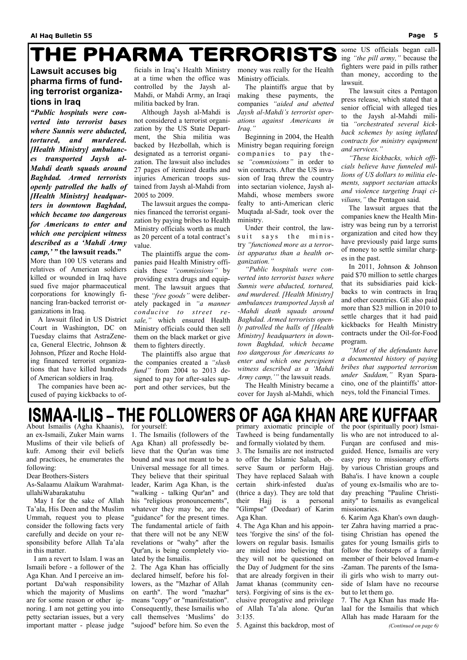## THE PHARMA TERRORISTS

### **Lawsuit accuses big pharma firms of funding terrorist organizations in Iraq**

*"Public hospitals were converted into terrorist bases where Sunnis were abducted, tortured, and murdered. [Health Ministry] ambulances transported Jaysh al-Mahdi death squads around Baghdad. Armed terrorists openly patrolled the halls of [Health Ministry] headquarters in downtown Baghdad, which became too dangerous for Americans to enter and which one percipient witness described as a 'Mahdi Army camp,' "* **the lawsuit reads."** 

More than 100 US veterans and relatives of American soldiers killed or wounded in Iraq have sued five major pharmaceutical corporations for knowingly financing Iran-backed terrorist organizations in Iraq.

 A lawsuit filed in US District Court in Washington, DC on Tuesday claims that AstraZeneca, General Electric, Johnson & Johnson, Pfizer and Roche Holding financed terrorist organizations that have killed hundreds of American soldiers in Iraq.

 The companies have been accused of paying kickbacks to officials in Iraq's Health Ministry at a time when the office was controlled by the Jaysh al-Mahdi, or Mahdi Army, an Iraqi militia backed by Iran.

 Although Jaysh al-Mahdi is not considered a terrorist organization by the US State Department, the Shia militia was backed by Hezbollah, which is designated as a terrorist organization. The lawsuit also includes 27 pages of itemized deaths and injuries American troops sustained from Jaysh al-Mahdi from 2005 to 2009.

 The lawsuit argues the companies financed the terrorist organization by paying bribes to Health Ministry officials worth as much as 20 percent of a total contract's value.

 The plaintiffs argue the companies paid Health Ministry officials these *"commissions"* by providing extra drugs and equipment. The lawsuit argues that these *"free goods"* were deliberately packaged in *"a manner conducive to street resale,"* which ensured Health Ministry officials could then sell them on the black market or give them to fighters directly.

 The plaintiffs also argue that the companies created a *"slush fund"* from 2004 to 2013 designed to pay for after-sales support and other services, but the

money was really for the Health Ministry officials.

### **ISMAA-ILIS – THE FOLLOWERS OF AGA KHAN ARE KUFFAAR** About Ismailis (Agha Khaanis),

 The plaintiffs argue that by making these payments, the companies *"aided and abetted Jaysh al-Mahdi's terrorist operations against Americans in Iraq."*

 Beginning in 2004, the Health Ministry began requiring foreign companies to pay these *"commissions"* in order to win contracts. After the US invasion of Iraq threw the country into sectarian violence, Jaysh al-Mahdi, whose members swore fealty to anti-American cleric Muqtada al-Sadr, took over the ministry.

 Under their control, the lawsuit says the ministry *"functioned more as a terrorist apparatus than a health organization."*

 *"Public hospitals were converted into terrorist bases where Sunnis were abducted, tortured, and murdered. [Health Ministry] ambulances transported Jaysh al -Mahdi death squads around Baghdad. Armed terrorists openly patrolled the halls of [Health Ministry] headquarters in downtown Baghdad, which became too dangerous for Americans to enter and which one percipient witness described as a 'Mahdi Army camp,'"* the lawsuit reads.

 The Health Ministry became a cover for Jaysh al-Mahdi, which

some US officials began calling *"the pill army,"* because the fighters were paid in pills rather than money, according to the lawsuit.

 The lawsuit cites a Pentagon press release, which stated that a senior official with alleged ties to the Jaysh al-Mahdi militia *"orchestrated several kickback schemes by using inflated contracts for ministry equipment and services."*

 *"These kickbacks, which officials believe have funneled millions of US dollars to militia elements, support sectarian attacks and violence targeting Iraqi civilians,"* the Pentagon said.

 The lawsuit argues that the companies knew the Health Ministry was being run by a terrorist organization and cited how they have previously paid large sums of money to settle similar charges in the past.

 In 2011, Johnson & Johnson paid \$70 million to settle charges that its subsidiaries paid kickbacks to win contracts in Iraq and other countries. GE also paid more than \$23 million in 2010 to settle charges that it had paid kickbacks for Health Ministry contracts under the Oil-for-Food program.

 *"Most of the defendants have a documented history of paying bribes that supported terrorism under Saddam,"* Ryan Sparacino, one of the plaintiffs' attorneys, told the Financial Times.

an ex-Ismaili, Zuker Main warns Muslims of their vile beliefs of kufr. Among their evil beliefs and practices, he enumerates the following:

Dear Brothers-Sisters

As-Salaamu Alaikum WarahmatullahiWabarakatuhu

 May I for the sake of Allah Ta'ala, His Deen and the Muslim Ummah, request you to please consider the following facts very carefully and decide on your responsibility before Allah Ta'ala in this matter.

 I am a revert to Islam. I was an Ismaili before - a follower of the Aga Khan. And I perceive an important Da'wah responsibility which the majority of Muslims are for some reason or other ignoring. I am not getting you into petty sectarian issues, but a very important matter - please judge

for yourself:

1. The Ismailis (followers of the Aga Khan) all professedly believe that the Qur'an was time bound and was not meant to be a Universal message for all times. They believe that their spiritual leader, Karim Aga Khan, is the "walking - talking Qur'an" and his "religious pronouncements", whatever they may be, are the "guidance" for the present times. The fundamental article of faith that there will not be any NEW revelations or "wahy" after the Qur'an, is being completely violated by the Ismailis. 2. The Aga Khan has officially declared himself, before his followers, as the "Mazhar of Allah on earth". The word "mazhar" means "copy" or "manifestation". Consequently, these Ismailis who call themselves 'Muslims' do "sujood" before him. So even the

3. The Ismailis are not instructed to offer the Islamic Salaah, observe Saum or perform Hajj. They have replaced Salaah with certain shirk-infested dua'as (thrice a day). They are told that

4. The Aga Khan and his appointees 'forgive the sins' of the followers on regular basis. Ismailis are misled into believing that they will not be questioned on the Day of Judgment for the sins that are already forgiven in their Jamat khanas (community centers). Forgiving of sins is the exclusive prerogative and privilege of Allah Ta'ala alone. Qur'an 3:135.

primary axiomatic principle of Tawheed is being fundamentally and formally violated by them. their Hajj is a personal "Glimpse" (Deedaar) of Karim Aga Khan. 5. Against this backdrop, most of the poor (spiritually poor) Ismailis who are not introduced to al-Furqan are confused and misguided. Hence, Ismailis are very easy prey to missionary efforts by various Christian groups and Baha'is. I have known a couple of young ex-Ismailis who are today preaching "Pauline Christianity" to Ismailis as evangelical missionaries. 6. Karim Aga Khan's own daughter Zahra having married a practising Christian has opened the gates for young Ismailis girls to follow the footsteps of a family member of their beloved Imam-e -Zaman. The parents of the Ismaili girls who wish to marry outside of Islam have no recourse but to let them go. 7. The Aga Khan has made Halaal for the Ismailis that which Allah has made Haraam for the *(Continued on page 6)*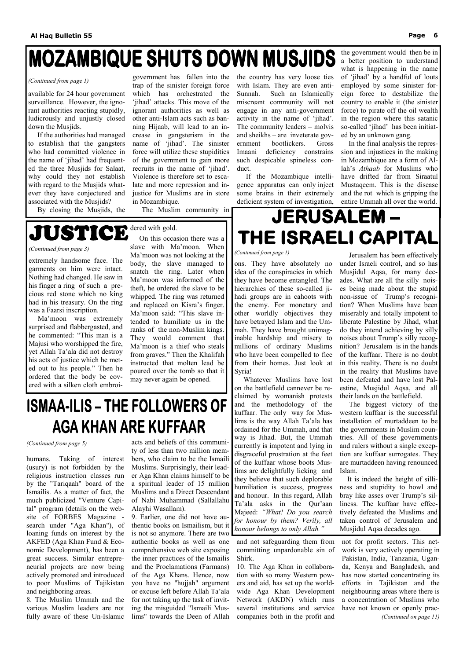## **MOZAMBIQUE SHUTS DOWN MUSJIDS**

available for 24 hour government surveillance. However, the ignorant authorities reacting stupidly, ludicrously and unjustly closed down the Musjids.

 If the authorities had managed to establish that the gangsters who had committed violence in the name of 'jihad' had frequented the three Musjids for Salaat, why could they not establish with regard to the Musjids whatever they have conjectured and associated with the Musjids?

By closing the Musjids, the

government has fallen into the trap of the sinister foreign force which has orchestrated the 'jihad' attacks. This move of the ignorant authorities as well as other anti-Islam acts such as banning Hijaab, will lead to an increase in gangsterism in the name of 'jihad'. The sinister force will utilize these stupidities of the government to gain more recruits in the name of 'jihad'. Violence is therefore set to escalate and more repression and injustice for Muslims are in store in Mozambique.

The Muslim community in

## **JUSTICE** dered with gold.

the country has very loose ties with Islam. They are even anti-Sunnah. Such an Islamically miscreant community will not engage in any anti-government activity in the name of 'jihad'. The community leaders – molvis and sheikhs – are inveterate government bootlickers. Gross Imaani deficiency constrains such despicable spineless conduct.

 If the Mozambique intelligence apparatus can only inject some brains in their extremely deficient system of investigation,

the government would then be in a better position to understand what is happening in the name of 'jihad' by a handful of louts employed by some sinister foreign force to destabilize the country to enable it (the sinister force) to pirate off the oil wealth in the region where this satanic so-called 'jihad' has been initiated by an unknown gang.

 In the final analysis the repression and injustices in the making in Mozambique are a form of Allah's *Athaab* for Muslims who have drifted far from Siraatul Mustaqeem. This is the disease and the rot which is gripping the entire Ummah all over the world.

## **JERUSALEM-**THE ISRAELI CAPITAL

#### *(Continued from page 1)*

humans. Taking of interest (usury) is not forbidden by the religious instruction classes run by the "Tariqaah" board of the Ismailis. As a matter of fact, the much publicized "Venture Capital" program (details on the website of FORBES Magazine search under "Aga Khan"), of loaning funds on interest by the AKFED (Aga Khan Fund & Economic Development), has been a great success. Similar entrepreneurial projects are now being actively promoted and introduced to poor Muslims of Tajikistan and neighboring areas. 8. The Muslim Ummah and the various Muslim leaders are not fully aware of these Un-Islamic

acts and beliefs of this community of less than two million members, who claim to be the Ismaili Muslims. Surprisingly, their leader Aga Khan claims himself to be a spiritual leader of 15 million Muslims and a Direct Descendant

of Nabi Muhammad (Sallallahu Alayhi Wasallam).

9. Earlier, one did not have authentic books on Ismailism, but it is not so anymore. There are two authentic books as well as one comprehensive web site exposing the inner practices of the Ismailis and the Proclamations (Farmans) of the Aga Khans. Hence, now you have no "hujjah" argument or excuse left before Allah Ta'ala for not taking up the task of inviting the misguided "Ismaili Muslims" towards the Deen of Allah

and not safeguarding them from committing unpardonable sin of Shirk.

10. The Aga Khan in collaboration with so many Western powers and aid, has set up the worldwide Aga Khan Development Network (AKDN) which runs several institutions and service companies both in the profit and

not for profit sectors. This network is very actively operating in Pakistan, India, Tanzania, Uganda, Kenya and Bangladesh, and has now started concentrating its efforts in Tajikistan and the neighbouring areas where there is a concentration of Muslims who have not known or openly prac- *(Continued on page 11)* 

#### *(Continued from page 5)*

ons. They have absolutely no idea of the conspiracies in which they have become entangled. The hierarchies of these so-called jihadi groups are in cahoots with the enemy. For monetary and other worldly objectives they have betrayed Islam and the Ummah. They have brought unimaginable hardship and misery to millions of ordinary Muslims who have been compelled to flee from their homes. Just look at Syria!

 Whatever Muslims have lost on the battlefield cannever be reclaimed by womanish protests and the methodology of the kuffaar. The only way for Muslims is the way Allah Ta'ala has ordained for the Ummah, and that way is Jihad. But, the Ummah currently is impotent and lying in disgraceful prostration at the feet of the kuffaar whose boots Muslims are delightfully licking and they believe that such deplorable humiliation is success, progress and honour. In this regard, Allah Ta'ala asks in the Qur'aan Majeed: *"What! Do you search for honour by them? Verily, all honour belongs to only Allah."*  their lands on the battlefield. Islam.

Jerusalem has been effectively under Israeli control, and so has Musjidul Aqsa, for many decades. What are all the silly noises being made about the stupid non-issue of Trump's recognition? When Muslims have been miserably and totally impotent to liberate Palestine by Jihad, what do they intend achieving by silly noises about Trump's silly recognition? Jerusalem is in the hands of the kuffaar. There is no doubt in this reality. There is no doubt in the reality that Muslims have been defeated and have lost Palestine, Musjidul Aqsa, and all

 The biggest victory of the western kuffaar is the successful installation of murtaddeen to be the governments in Muslim countries. All of these governments and rulers without a single exception are kuffaar surrogates. They are murtaddeen having renounced

 It is indeed the height of silliness and stupidity to howl and bray like asses over Trump's silliness. The kuffaar have effectively defeated the Muslims and taken control of Jerusalem and Musjidul Aqsa decades ago.

### *(Continued from page 1)*

extremely handsome face. The garments on him were intact. Nothing had changed. He saw in his finger a ring of such a precious red stone which no king had in his treasury. On the ring was a Faarsi inscription.

 Ma'moon was extremely surprised and flabbergasted, and he commented: "This man is a Majusi who worshipped the fire, yet Allah Ta'ala did not destroy his acts of justice which he meted out to his people." Then he ordered that the body be covered with a silken cloth embroi-

 On this occasion there was a slave with Ma'moon. When Ma'moon was not looking at the body, the slave managed to snatch the ring. Later when Ma'moon was informed of the theft, he ordered the slave to be whipped. The ring was returned and replaced on Kisra's finger. Ma'moon said: "This slave intended to humiliate us in the ranks of the non-Muslim kings. They would comment that Ma'moon is a thief who steals from graves." Then the Khalifah instructed that molten lead be poured over the tomb so that it may never again be opened.

## **ISMAA-ILIS - THE FOLLOWERS OF AGA KHAN ARE KUFFAAR**

#### *(Continued from page 3)*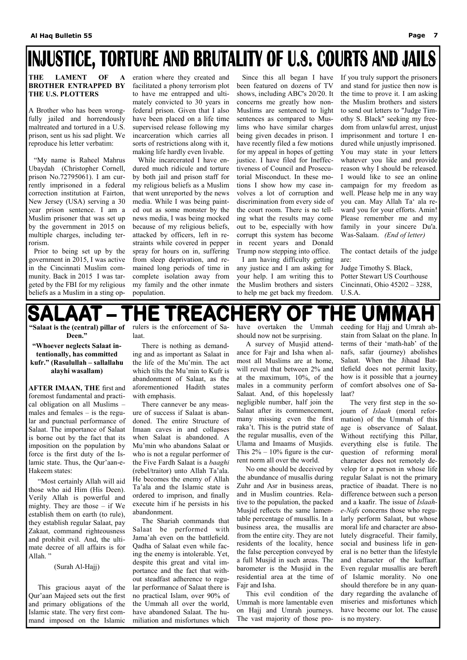## **INJUSTICE, TORTURE AND BRUTALITY OF U.S. COURTS AND JAILS**

### **THE LAMENT OF A BROTHER ENTRAPPED BY THE U.S. PLOTTERS**

A Brother who has been wrongfully jailed and horrendously maltreated and tortured in a U.S. prison, sent us his sad plight. We reproduce his letter verbatim:

 "My name is Raheel Mahrus Ubaydah (Christopher Cornell, prison No.72795061). I am currently imprisoned in a federal correction institution at Fairton, New Jersey (USA) serving a 30 year prison sentence. I am a Muslim prisoner that was set up by the government in 2015 on multiple charges, including terrorism.

 Prior to being set up by the government in 2015, I was active in the Cincinnati Muslim community. Back in 2015 I was targeted by the FBI for my religious beliefs as a Muslim in a sting operation where they created and facilitated a phony terrorism plot to have me entrapped and ultimately convicted to 30 years in federal prison. Given that I also have been placed on a life time supervised release following my incarceration which carries all sorts of restrictions along with it, making life hardly even livable.

 While incarcerated I have endured much ridicule and torture by both jail and prison staff for my religious beliefs as a Muslim that went unreported by the news media. While I was being painted out as some monster by the news media, I was being mocked because of my religious beliefs, attacked by officers, left in restraints while covered in pepper spray for hours on in, suffering from sleep deprivation, and remained long periods of time in complete isolation away from my family and the other inmate population.

 Since this all began I have been featured on dozens of TV shows, including ABC's 20/20. It concerns me greatly how non-Muslims are sentenced to light sentences as compared to Muslims who have similar charges being given decades in prison. I have recently filed a few motions for my appeal in hopes of getting justice. I have filed for Ineffectiveness of Council and Prosecutorial Misconduct. In these motions I show how my case involves a lot of corruption and discrimination from every side of the court room. There is no telling what the results may come out to be, especially with how corrupt this system has become in recent years and Donald Trump now stepping into office.

 I am having difficulty getting any justice and I am asking for your help. I am writing this to the Muslim brothers and sisters to help me get back my freedom.

If you truly support the prisoners and stand for justice then now is the time to prove it. I am asking the Muslim brothers and sisters to send out letters to "Judge Timothy S. Black" seeking my freedom from unlawful arrest, unjust imprisonment and torture I endured while unjustly imprisoned. You may state in your letters whatever you like and provide reason why I should be released. I would like to see an online campaign for my freedom as well. Please help me in any way you can. May Allah Ta' ala reward you for your efforts. Amin! Please remember me and my family in your sincere Du'a. Was-Salaam. *(End of letter)*

The contact details of the judge are:

Judge Timothy S. Black, Potter Stewart US Courthouse Cincinnati, Ohio 45202 – 3288, U.S.A.

#### **HE TREAC HERY** 1E UMMAF OF

**"Salaat is the (central) pillar of Deen."** 

**"Whoever neglects Salaat intentionally, has committed kufr." (Rasulullah – sallallahu alayhi wasallam)** 

**AFTER IMAAN, THE** first and foremost fundamental and practical obligation on all Muslims – males and females – is the regular and punctual performance of Salaat. The importance of Salaat is borne out by the fact that its imposition on the population by force is the first duty of the Islamic state. Thus, the Qur'aan-e-Hakeem states:

 "Most certainly Allah will aid those who aid Him (His Deen). Verily Allah is powerful and mighty. They are those – if We establish them on earth (to rule), they establish regular Salaat, pay Zakaat, command righteousness and prohibit evil. And, the ultimate decree of all affairs is for Allah. "

(Surah Al-Hajj)

 This gracious aayat of the Qur'aan Majeed sets out the first and primary obligations of the Islamic state. The very first command imposed on the Islamic rulers is the enforcement of Salaat.

 There is nothing as demanding and as important as Salaat in the life of the Mu'min. The act which tilts the Mu'min to Kufr is abandonment of Salaat, as the aforementioned Hadith states with emphasis.

 There cannever be any measure of success if Salaat is abandoned. The entire Structure of Imaan caves in and collapses when Salaat is abandoned. A Mu'min who abandons Salaat or who is not a regular performer of the Five Fardh Salaat is a *baaghi* (rebel/traitor) unto Allah Ta'ala. He becomes the enemy of Allah Ta'ala and the Islamic state is ordered to imprison, and finally execute him if he persists in his abandonment. The Shariah commands that Salaat be performed with Jama'ah even on the battlefield. Qadha of Salaat even while facing the enemy is intolerable. Yet, despite this great and vital importance and the fact that without steadfast adherence to regular performance of Salaat there is no practical Islam, over 90% of the Ummah all over the world, have abandoned Salaat. The humiliation and misfortunes which have overtaken the Ummah should now not be surprising.

 A survey of Musjid attendance for Fajr and Isha when almost all Muslims are at home, will reveal that between 2% and at the maximum, 10%, of the males in a community perform Salaat. And, of this hopelessly negligible number, half join the Salaat after its commencement, many missing even the first raka't. This is the putrid state of the regular musallis, even of the Ulama and Imaams of Musjids. This  $2\% - 10\%$  figure is the current norm all over the world.

 No one should be deceived by the abundance of musallis during Zuhr and Asr in business areas, and in Muslim countries. Relative to the population, the packed Musjid reflects the same lamentable percentage of musallis. In a business area, the musallis are from the entire city. They are not residents of the locality, hence the false perception conveyed by a full Musjid in such areas. The barometer is the Musjid in the residential area at the time of Fajr and Isha. This evil condition of the Ummah is more lamentable even on Hajj and Umrah journeys. The vast majority of those pro-

ceeding for Hajj and Umrah abstain from Salaat on the plane. In terms of their 'math-hab' of the nafs, safar (journey) abolishes Salaat. When the Jihaad Battlefield does not permit laxity, how is it possible that a journey of comfort absolves one of Salaat?

 The very first step in the sojourn of *Islaah* (moral reformation) of the Ummah of this age is observance of Salaat. Without rectifying this Pillar, everything else is futile. The question of reforming moral character does not remotely develop for a person in whose life regular Salaat is not the primary practice of ibaadat. There is no difference between such a person and a kaafir. The issue of *Islaahe-Nafs* concerns those who regularly perform Salaat, but whose moral life and character are absolutely disgraceful. Their family, social and business life in general is no better than the lifestyle and character of the kuffaar. Even regular musallis are bereft of Islamic morality. No one should therefore be in any quandary regarding the avalanche of miseries and misfortunes which have become our lot. The cause is no mystery.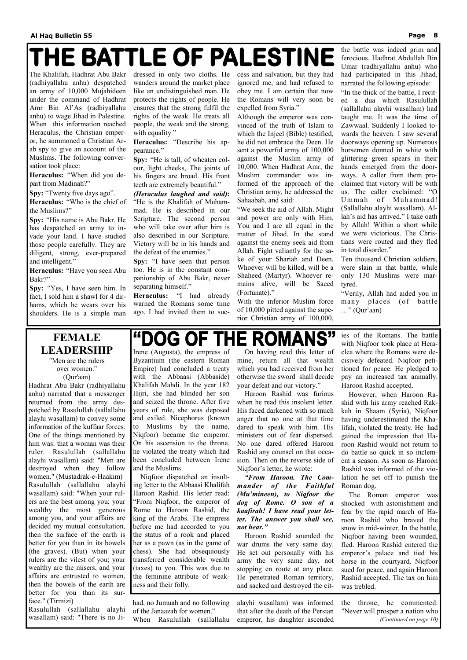## THE BATTLE OF PALESTINE

The Khalifah, Hadhrat Abu Bakr (radhiyallahu anhu) despatched an army of 10,000 Mujahideen under the command of Hadhrat Amr Bin Al'As (radhiyallahu anhu) to wage Jihad in Palestine. When this information reached Heraculus, the Christian emperor, he summoned a Christian Arab spy to give an account of the Muslims. The following conversation took place:

**Heraculus:** "When did you depart from Madinah?"

dressed in only two cloths. He wanders around the market place like an undistinguished man. He protects the rights of people. He ensures that the strong fulfil the rights of the weak. He treats all people, the weak and the strong, with equality."

**Spy:** "Twenty five days ago".

**Heraculus:** "Who is the chief of the Muslims?"

**Spy:** "His name is Abu Bakr. He has despatched an army to invade your land. I have studied those people carefully. They are diligent, strong, ever-prepared and intelligent."

**Heraculus:** "Have you seen Abu Bakr?"

**Spy:** "Yes, I have seen him. In fact, I sold him a shawl for 4 dirhams, which he wears over his shoulders. He is a simple man

**Heraculus:** "Describe his appearance."

**Spy:** "He is tall, of wheaten colour, light cheeks, The joints of his fingers are broad. His front teeth are extremely beautiful."

*(Heraculus laughed and said)***:** "He is the Khalifah of Muhammad. He is described in our Scripture. The second person who will take over after him is also described in our Scripture. Victory will be in his hands and the defeat of the enemies."

**Spy:** "I have seen that person too. He is in the constant companionship of Abu Bakr, never separating himself."

**Heraculus:** "I had already warned the Romans some time ago. I had invited them to success and salvation, but they had ignored me, and had refused to obey me. I am certain that now the Romans will very soon be expelled from Syria."

Although the emperor was convinced of the truth of Islam to which the Injeel (Bible) testified, he did not embrace the Deen. He sent a powerful army of 100,000 against the Muslim army of 10,000. When Hadhrat Amr, the Muslim commander was informed of the approach of the Christian army, he addressed the Sahaabah, and said:

"We seek the aid of Allah. Might and power are only with Him. You and I are all equal in the matter of Jihad. In the stand against the enemy seek aid from Allah. Fight valiantly for the sake of your Shariah and Deen. Whoever will be killed, will be a Shaheed (Martyr). Whoever remains alive, will be Saeed (Fortunate)."

With the inferior Muslim force of 10,000 pitted against the superior Christian army of 100,000,

the battle was indeed grim and ferocious. Hadhrat Abdullah Bin Umar (radhiyallahu anhu) who had participated in this Jihad, narrated the following episode:

"In the thick of the battle, I recited a dua which Rasulullah (sallallahu alayhi wasallam) had taught me. It was the time of Zawwaal. Suddenly I looked towards the heaven. I saw several doorways opening up. Numerous horsemen donned in white with glittering green spears in their hands emerged from the doorways. A caller from them proclaimed that victory will be with us. The caller exclaimed: "O Ummah of Muhammad! (Sallallahu alayhi wasallam). Allah's aid has arrived." I take oath by Allah! Within a short while we were victorious. The Christians were routed and they fled in total disorder."

Ten thousand Christian soldiers, were slain in that battle, while only 130 Muslims were martyred.

"Verily, Allah had aided you in many places (of battle …" (Qur'aan)

### **FEMALE LEADERSHIP**  "Men are the rulers

over women." (Qur'aan)

Hadhrat Abu Bakr (radhiyallahu anhu) narrated that a messenger returned from the army despatched by Rasulullah (sallallahu alayhi wasallam) to convey some information of the kuffaar forces. One of the things mentioned by him was: that a woman was their ruler. Rasulullah (sallallahu alayhi wasallam) said: "Men are destroyed when they follow women." (Mustadrak-e-Haakim) Rasulullah (sallallahu alayhi wasallam) said: "When your rulers are the best among you; your wealthy the most generous among you, and your affairs are decided my mutual consultation, then the surface of the earth is better for you than in its bowels (the graves). (But) when your rulers are the vilest of you; your wealthy are the misers, and your affairs are entrusted to women, then the bowels of the earth are better for you than its surface." (Tirmizi) Rasulullah (sallallahu alayhi wasallam) said: "There is no Ji-

## "DOG OF THE ROMANS"

had, no Jumuah and no following of the Janaazah for women." When Rasulullah (sallallahu

alayhi wasallam) was informed that after the death of the Persian emperor, his daughter ascended

the throne, he commented: "Never will prosper a nation who *(Continued on page 10)* 

Irene (Augusta), the empress of Byzantium (the eastern Roman Empire) had concluded a treaty with the Abbaasi (Abbaside) Khalifah Mahdi. In the year 182 Hijri, she had blinded her son and seized the throne. After five years of rule, she was deposed and exiled. Nicephorus (known to Muslims by the name, Niqfoor) became the emperor. On his ascension to the throne, he violated the treaty which had been concluded between Irene and the Muslims.

 Niqfoor dispatched an insulting letter to the Abbaasi Khalifah Haroon Rashid. His letter read: "From Niqfoor, the emperor of Rome to Haroon Rashid, the king of the Arabs. The empress before me had accorded to you the status of a rook and placed her as a pawn (as in the game of chess). She had obsequiously transferred considerable wealth (taxes) to you. This was due to the feminine attribute of weakness and their folly.

 On having read this letter of mine, return all that wealth which you had received from her otherwise the sword shall decide your defeat and our victory."

 Haroon Rashid was furious when he read this insolent letter. His faced darkened with so much anger that no one at that time dared to speak with him. His ministers out of fear dispersed. No one dared offered Haroon Rashid any counsel on that occasion. Then on the reverse side of Niqfoor's letter, he wrote:

*"From Haroon. The Commander of the Faithful (Mu'mineen), to Niqfoor the dog of Rome. O son of a kaafirah! I have read your letter. The answer you shall see, not hear."*  Haroon Rashid sounded the war drums the very same day. He set out personally with his army the very same day, not stopping en route at any place. He penetrated Roman territory, and sacked and destroyed the cities of the Romans. The battle with Niqfoor took place at Heraclea where the Romans were decisively defeated. Niqfoor petitioned for peace. He pledged to pay an increased tax annually. Haroon Rashid accepted.

 However, when Haroon Rashid with his army reached Rakkah in Shaam (Syria), Niqfoor having underestimated the Khalifah, violated the treaty. He had gained the impression that Haroon Rashid would not return to do battle so quick in so inclement a season. As soon as Haroon Rashid was informed of the violation he set off to punish the Roman dog.

The Roman emperor was

shocked with astonishment and fear by the rapid march of Haroon Rashid who braved the snow in mid-winter. In the battle, Niqfoor having been wounded, fled. Haroon Rashid entered the emperor's palace and tied his horse in the courtyard. Niqfoor sued for peace, and again Haroon Rashid accepted. The tax on him was trebled.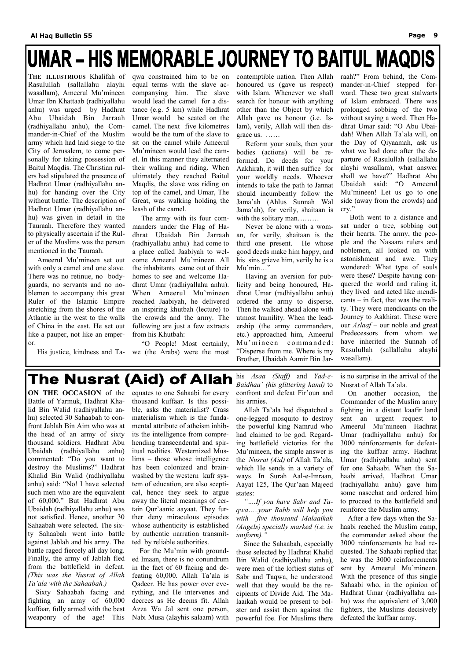## UMAR - HIS MEMORABLE JOURNEY TO BAITUL MAQDIS

**THE ILLUSTRIOUS** Khalifah of Rasulullah (sallallahu alayhi wasallam), Ameerul Mu'mineen Umar Ibn Khattaab (radhiyallahu anhu) was urged by Hadhrat Abu Ubaidah Bin Jarraah (radhiyallahu anhu), the Commander-in-Chief of the Muslim army which had laid siege to the City of Jerusalem, to come personally for taking possession of Baitul Maqdis. The Christian rulers had stipulated the presence of Hadhrat Umar (radhiyallahu anhu) for handing over the City without battle. The description of Hadhrat Umar (radhiyallahu anhu) was given in detail in the Tauraah. Therefore they wanted to physically ascertain if the Ruler of the Muslims was the person mentioned in the Tauraah.

 Ameerul Mu'mineen set out with only a camel and one slave. There was no retinue, no bodyguards, no servants and no noblemen to accompany this great Ruler of the Islamic Empire stretching from the shores of the Atlantic in the west to the walls of China in the east. He set out like a pauper, not like an emperor.

 Reform your souls, then your bodies (actions) will be reformed. Do deeds for your Aakhirah, it will then suffice for your worldly needs. Whoever intends to take the path to Jannat should incumbently follow the Jama'ah (Ahlus Sunnah Wal Jama'ah), for verily, shaitaan is with the solitary man........

qwa constrained him to be on equal terms with the slave accompanying him. The slave would lead the camel for a distance (e.g. 5 km) while Hadhrat Umar would be seated on the camel. The next five kilometres would be the turn of the slave to sit on the camel while Ameerul Mu'mineen would lead the camel. In this manner they alternated their walking and riding. When ultimately they reached Baitul Maqdis, the slave was riding on top of the camel, and Umar, The Great, was walking holding the leash of the camel.

 His justice, kindness and Ta-we (the Arabs) were the most "O People! Most certainly,

 The army with its four commanders under the Flag of Hadhrat Ubaidah Bin Jarraah (radhiyallahu anhu) had come to a place called Jaabiyah to welcome Ameerul Mu'mineen. All the inhabitants came out of their homes to see and welcome Hadhrat Umar (radhiyallahu anhu). When Ameerul Mu'mineen reached Jaabiyah, he delivered an inspiring khutbah (lecture) to the crowds and the army. The following are just a few extracts from his Khutbah:

contemptible nation. Then Allah honoured us (gave us respect) with Islam. Whenever we shall search for honour with anything other than the Object by which Allah gave us honour (i.e. Islam), verily, Allah will then disgrace us. ……

 Never be alone with a woman, for verily, shaitaan is the third one present. He whose good deeds make him happy, and his sins grieve him, verily he is a Mu'min…"

 Having an aversion for publicity and being honoured, Hadhrat Umar (radhiyallahu anhu) ordered the army to disperse. Then he walked ahead alone with utmost humility. When the leadership (the army commanders, etc.) approached him, Ameerul Mu'mineen commanded: "Disperse from me. Where is my Brother, Ubaidah Aamir Bin Jar-

raah?" From behind, the Commander-in-Chief stepped forward. These two great stalwarts of Islam embraced. There was prolonged sobbing of the two without saying a word. Then Hadhrat Umar said: "O Abu Ubaidah! When Allah Ta'ala will, on the Day of Qiyaamah, ask us what we had done after the departure of Rasulullah (sallallahu alayhi wasallam), what answer shall we have?" Hadhrat Abu Ubaidah said: "O Ameerul Mu'mineen! Let us go to one side (away from the crowds) and cry."

 Both went to a distance and sat under a tree, sobbing out their hearts. The army, the people and the Nasaara rulers and noblemen, all looked on with astonishment and awe. They wondered: What type of souls were these? Despite having conquered the world and ruling it, they lived and acted like mendicants – in fact, that was the reality. They were mendicants on the Journey to Aakhirat. These were our *Aslaaf –* our noble and great Predecessors from whom we have inherited the Sunnah of Rasulullah (sallallahu alayhi wasallam).

### **The Nusrat (Aid) of Allah**

**ON THE OCCASION** of the Battle of Yarmuk, Hadhrat Khalid Bin Walid (radhiyallahu anhu) selected 30 Sahaabah to confront Jablah Bin Aim who was at the head of an army of sixty thousand soldiers. Hadhrat Abu Ubaidah (radhiyallahu anhu) commented: "Do you want to destroy the Muslims?" Hadhrat Khalid Bin Walid (radhiyallahu anhu) said: "No! I have selected such men who are the equivalent of 60,000." But Hadhrat Abu Ubaidah (radhiyallahu anhu) was not satisfied. Hence, another 30 Sahaabah were selected. The sixty Sahaabah went into battle against Jablah and his army. The battle raged fiercely all day long. Finally, the army of Jablah fled from the battlefield in defeat. *(This was the Nusrat of Allah Ta'ala with the Sahaabah.)*  Sixty Sahaabah facing and fighting an army of 60,000 kuffaar, fully armed with the best weaponry of the age! This

equates to one Sahaabi for every thousand kuffaar. Is this possible, asks the materialist? Crass materialism which is the fundamental attribute of atheism inhibits the intelligence from comprehending transcendental and spiritual realities. Westernized Muslims – those whose intelligence has been colonized and brainwashed by the western kufr system of education, are also sceptical, hence they seek to argue away the literal meanings of certain Qur'aanic aayaat. They further deny miraculous episodes whose authenticity is established by authentic narration transmitted by reliable authorities. For the Mu'min with grounded Imaan, there is no conundrum in the fact of 60 facing and defeating 60,000. Allah Ta'ala is Qadeer. He has power over everything, and He intervenes and decrees as He deems fit. Allah Azza Wa Jal sent one person, Nabi Musa (alayhis salaam) with

his *Asaa (Staff)* and *Yad-e-Baidhaa' (his glittering hand)* to confront and defeat Fir'oun and his armies.

 Allah Ta'ala had dispatched a one-legged mosquito to destroy the powerful king Namrud who had claimed to be god. Regarding battlefield victories for the Mu'mineen, the simple answer is the *Nusrat (Aid)* of Allah Ta'ala, which He sends in a variety of ways. In Surah Aal-e-Imraan, Aayat 125, The Qur'aan Majeed states:

*"….If you have Sabr and Taqwa…..your Rabb will help you with five thousand Malaaikah (Angels) specially marked (i.e. in uniform)."* 

 Since the Sahaabah, especially those selected by Hadhrat Khalid Bin Walid (radhiyallahu anhu), were men of the loftiest status of Sabr and Taqwa, he understood well that they would be the recipients of Divide Aid. The Malaaikah would be present to bolster and assist them against the powerful foe. For Muslims there

is no surprise in the arrival of the Nusrat of Allah Ta'ala.

 On another occasion, the Commander of the Muslim army fighting in a distant kaafir land sent an urgent request to Ameerul Mu'mineen Hadhrat Umar (radhiyallahu anhu) for 3000 reinforcements for defeating the kuffaar army. Hadhrat Umar (radhiyallahu anhu) sent for one Sahaabi. When the Sahaabi arrived, Hadhrat Umar (radhiyallahu anhu) gave him some naseehat and ordered him to proceed to the battlefield and reinforce the Muslim army. After a few days when the Sahaabi reached the Muslim camp, the commander asked about the 3000 reinforcements he had requested. The Sahaabi replied that he was the 3000 reinforcements sent by Ameerul Mu'mineen. With the presence of this single Sahaabi who, in the opinion of Hadhrat Umar (radhiyallahu anhu) was the equivalent of 3,000 fighters, the Muslims decisively defeated the kuffaar army.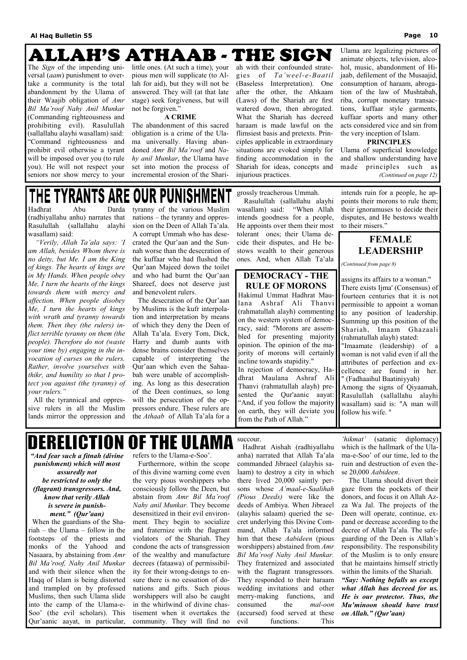### **ALLAH'S ATHAAB - THE SIGN**

The *Sign* of the impending universal (*aam*) punishment to overtake a community is the total abandonment by the Ulama of their Waajib obligation of *Amr Bil Ma'roof Nahy Anil Munkar* (Commanding righteousness and prohibiting evil). Rasulullah (sallallahu alayhi wasallam) said: "Command righteousness and prohibit evil otherwise a tyrant will be imposed over you (to rule you). He will not respect your seniors nor show mercy to your

little ones. (At such a time), your pious men will supplicate (to Allah for aid), but they will not be answered. They will (at that late stage) seek forgiveness, but will not be forgiven."

### **A CRIME**

The abandonment of this sacred obligation is a crime of the Ulama universally. Having abandoned *Amr Bil Ma'roof* and *Nahy anil Munkar*, the Ulama have set into motion the process of incremental erosion of the Shariah with their confounded strategies of *Ta'weel-e-Baatil* (Baseless Interpretation). One after the other, the Ahkaam (Laws) of the Shariah are first watered down, then abrogated. What the Shariah has decreed haraam is made lawful on the flimsiest basis and pretexts. Principles applicable in extraordinary situations are evoked simply for finding accommodation in the Shariah for ideas, concepts and injurious practices.

Ulama are legalizing pictures of animate objects, television, alcohol, music, abandonment of Hijaab, defilement of the Musaajid, consumption of haraam, abrogation of the law of Mushtabah, riba, corrupt monetary transactions, kuffaar style garments, kuffaar sports and many other acts considered vice and sin from the very inception of Islam.

### **PRINCIPLES**

Ulama of superficial knowledge and shallow understanding have made principles such as *(Continued on page 12)* 

### **OUR PUNISHMENT** THE TYRANTS ARE

*"And fear such a fitnah (divine punishment) which will most assuredly not be restricted to only the (flagrant) transgressors. And, know that verily Allah is severe in punishment." (Qur'aan)*  When the guardians of the Shariah – the Ulama – follow in the footsteps of the priests and monks of the Yahood and Nasaara, by abstaining from *Amr Bil Ma'roof, Nahy Anil Munkar* and with their silence when the Haqq of Islam is being distorted and trampled on by professed Muslims, then such Ulama slide into the camp of the Ulama-e-Soo' (the evil scholars). This Qur'aanic aayat, in particular,

refers to the Ulama-e-Soo'.

 Furthermore, within the scope of this divine warning come even the very pious worshippers who consciously follow the Deen, but abstain from *Amr Bil Ma'roof (Pious Deeds)* were like the donors, and focus it on Allah Az-*Nahy anil Munkar.* They become desensitized in their evil environment. They begin to socialize and fraternize with the flagrant violators of the Shariah. They condone the acts of transgression of the wealthy and manufacture decrees (fataawa) of permissibility for their wrong-doings to ensure there is no cessation of donations and gifts. Such pious worshippers will also be caught in the whirlwind of divine chastisement when it overtakes the community. They will find no

succour.

 Hadhrat Aishah (radhiyallahu anha) narrated that Allah Ta'ala commanded Jibraeel (alayhis salaam) to destroy a city in which there lived 20,000 saintly persons whose *A'maal-e-Saalihah*  deeds of Ambiya. When Jibraeel (alayhis salaam) queried the secret underlying this Divine Command, Allah Ta'ala informed him that these *Aabideen* (pious worshippers) abstained from *Amr Bil Ma'roof Nahy Anil Munkar.*  They fraternized and associated with the flagrant transgressors. They responded to their haraam wedding invitations and other merry-making functions, and consumed the *mal-oon* (accursed) food served at these evil functions. This

*'hikmat'* (satanic diplomacy) which is the hallmark of the Ulama-e-Soo' of our time, led to the ruin and destruction of even these 20,000 *Aabideen*.

 The Ulama should divert their gaze from the pockets of their za Wa Jal. The projects of the Deen will operate, continue, expand or decrease according to the decree of Allah Ta'ala. The safeguarding of the Deen is Allah's responsibility. The responsibility of the Muslim is to only ensure that he maintains himself strictly within the limits of the Shariah. *"Say: Nothing befalls us except what Allah has decreed for us. He is our protector. Thus, the Mu'minoon should have trust on Allah." (Qur'aan)*

Hadhrat Abu Darda (radhiyallahu anhu) narrates that Rasulullah (sallallahu alayhi wasallam) said:

 *"Verily, Allah Ta'ala says: 'I am Allah, besides Whom there is no deity, but Me. I am the King of kings. The hearts of kings are in My Hands. When people obey Me, I turn the hearts of the kings towards them with mercy and affection. When people disobey Me, I turn the hearts of kings with wrath and tyranny towards them. Then they (the rulers) inflict terrible tyranny on them (the people). Therefore do not (waste your time by) engaging in the invocation of curses on the rulers. Rather, involve yourselves with thikr, and humility so that I protect you against (the tyranny) of your rulers."* 

 All the tyrannical and oppressive rulers in all the Muslim lands mirror the oppression and

tyranny of the various Muslim nations – the tyranny and oppression on the Deen of Allah Ta'ala. A corrupt Ummah who has desecrated the Qur'aan and the Sunnah worse than the desecration of the kuffaar who had flushed the Qur'aan Majeed down the toilet and who had burnt the Qur'aan Shareef, does not deserve just and benevolent rulers.

 The desecration of the Qur'aan by Muslims is the kufr interpolation and interpretation by means of which they deny the Deen of Allah Ta'ala. Every Tom, Dick, Harry and dumb aunts with dense brains consider themselves capable of interpreting the Qur'aan which even the Sahaabah were unable of accomplishing. As long as this desecration of the Deen continues, so long will the persecution of the oppressors endure. These rulers are the *Athaab* of Allah Ta'ala for a grossly treacherous Ummah.

 Rasulullah (sallallahu alayhi wasallam) said: "When Allah intends goodness for a people, He appoints over them their most tolerant ones; their Ulama decide their disputes, and He bestows wealth to their generous ones. And, when Allah Ta'ala intends ruin for a people, he appoints their morons to rule them; their ignoramuses to decide their disputes, and He bestows wealth to their misers."

assigns its affairs to a woman." There exists Ijma' (Consensus) of fourteen centuries that it is not permissible to appoint a woman to any position of leadership. Summing up this position of the Shariah, Imaam Ghazaali (rahmatullah alayh) stated: "Imaamate (leadership) of a woman is not valid even if all the attributes of perfection and excellence are found in her. " (Fadhaaihul Baatiniyyah) Among the signs of Qiyaamah, Rasulullah (sallallahu alayhi wasallam) said is: "A man will follow his wife. "

## **DERELICTION OF THE ULAMI**

*(Continued from page 8)* 

### **DEMOCRACY - THE RULE OF MORONS**  Hakimul Ummat Hadhrat Maulana Ashraf Ali Thanvi (rahmatullah alayh) commenting on the western system of democracy, said: "Morons are assembled for presenting majority opinion. The opinion of the majority of morons will certainly incline towards stupidity." In rejection of democracy, Hadhrat Maulana Ashraf Ali Thanvi (rahmatullah alayh) presented the Qur'aanic aayat: "And, if you follow the majority on earth, they will deviate you from the Path of Allah."

### **FEMALE LEADERSHIP**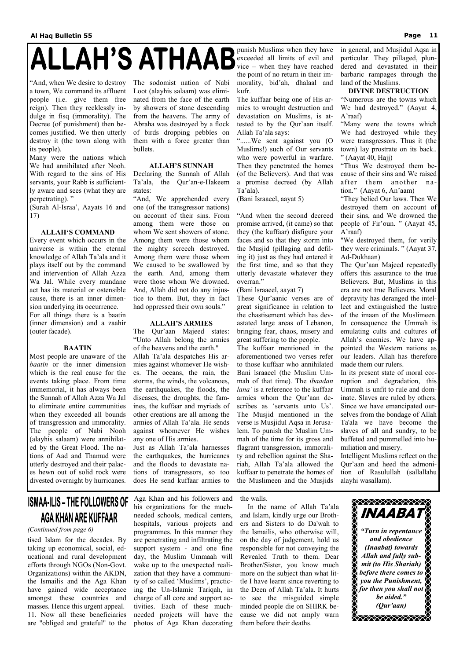# **ALLAH'S ATHAAB**

"And, when We desire to destroy a town, We command its affluent people (i.e. give them free reign). Then they recklessly indulge in fisq (immorality). The Decree (of punishment) then becomes justified. We then utterly destroy it (the town along with its people).

Many were the nations which We had annihilated after Nooh. With regard to the sins of His servants, your Rabb is sufficiently aware and sees (what they are perpetrating). "

(Surah Al-Israa', Aayats 16 and 17)

### **ALLAH'S COMMAND**

Every event which occurs in the universe is within the eternal knowledge of Allah Ta'ala and it plays itself out by the command and intervention of Allah Azza Wa Jal. While every mundane act has its material or ostensible cause, there is an inner dimension underlying its occurrence. For all things there is a baatin (inner dimension) and a zaahir (outer facade).

### **BAATIN**

Most people are unaware of the *baatin* or the inner dimension which is the real cause for the events taking place. From time immemorial, it has always been the Sunnah of Allah Azza Wa Jal to eliminate entire communities when they exceeded all bounds of transgression and immorality. The people of Nabi Nooh (alayhis salaam) were annihilated by the Great Flood. The nations of Aad and Thamud were utterly destroyed and their palaces hewn out of solid rock were divested overnight by hurricanes.

The sodomist nation of Nabi Loot (alayhis salaam) was eliminated from the face of the earth by showers of stone descending from the heavens. The army of Abraha was destroyed by a flock of birds dropping pebbles on them with a force greater than bullets.

### **ALLAH'S SUNNAH**

Declaring the Sunnah of Allah Ta'ala, the Qur'an-e-Hakeem states:

"And, We apprehended every one (of the transgressor nations) on account of their sins. From among them were those on whom We sent showers of stone. Among them were those whom the mighty screech destroyed. Among them were those whom We caused to be swallowed by the earth. And, among them were those whom We drowned. And, Allah did not do any injustice to them. But, they in fact had oppressed their own souls."

### **ALLAH'S ARMIES**

The Qur'aan Majeed states: "Unto Allah belong the armies of the heavens and the earth."

"Many were the towns which We had destroyed while they were transgressors. Thus it (the town) lay prostrate on its back.. " (Aayat 40, Hajj)

Allah Ta'ala despatches His armies against whomever He wishes. The oceans, the rain, the storms, the winds, the volcanoes, the earthquakes, the floods, the diseases, the droughts, the famines, the kuffaar and myriads of other creations are all among the armies of Allah Ta'ala. He sends against whomever He wishes any one of His armies.

Just as Allah Ta'ala harnesses the earthquakes, the hurricanes and the floods to devastate nations of transgressors, so too does He send kuffaar armies to punish Muslims when they have exceeded all limits of evil and vice – when they have reached the point of no return in their immorality, bid'ah, dhalaal and kufr.

The kuffaar being one of His armies to wrought destruction and devastation on Muslims, is attested to by the Qur'aan itself. Allah Ta'ala says:

"......We sent against you (O Muslims!) such of Our servants who were powerful in warfare. Then they penetrated the homes (of the Believers). And that was a promise decreed (by Allah Ta'ala).

(Bani Israaeel, aayat 5)

"And when the second decreed promise arrived, (it came) so that they (the kuffaar) disfigure your faces and so that they storm into the Musjid (pillaging and defiling it) just as they had entered it the first time, and so that they utterly devastate whatever they overran."

(Bani lsraaeel, aayat 7)

These Qur'aanic verses are of great significance in relation to the chastisement which has devastated large areas of Lebanon, bringing fear, chaos, misery and great suffering to the people.

The kuffaar mentioned in the aforementioned two verses refer to those kuffaar who annihilated Bani lsraaeel (the Muslim Ummah of that time). The *ibaadan lana'* is a reference to the kuffaar armies whom the Qur'aan describes as 'servants unto Us'. The Musjid mentioned in the verse is Musjidul Aqsa in Jerusalem. To punish the Muslim Ummah of the time for its gross and flagrant transgression, immorality and rebellion against the Shariah, Allah Ta'ala allowed the kuffaar to penetrate the homes of the Muslimeen and the Musjids

in general, and Musjidul Aqsa in particular. They pillaged, plundered and devastated in their barbaric rampages through the land of the Muslims.

### **DIVINE DESTRUCTION**

"Numerous are the towns which We had destroyed." (Aayat 4, A'raaf)

"Thus We destroyed them because of their sins and We raised after them another nation." (Aayat 6, An'aam)

"They belied Our laws. Then We destroyed them on account of their sins, and We drowned the people of Fir'oun. " (Aayat 45, A'raaf)

"We destroyed them, for verily they were criminals. " (Aayat 37, Ad-Dukhaan)

The Qur'aan Majeed repeatedly offers this assurance to the true Believers. But, Muslims in this era are not true Believers. Moral depravity has deranged the intellect and extinguished the lustre of the imaan of the Muslimeen. In consequence the Ummah is emulating cults and cultures of Allah's enemies. We have appointed the Western nations as our leaders. Allah has therefore made them our rulers.

In its present state of moral corruption and degradation, this Ummah is unfit to rule and dominate. Slaves are ruled by others. Since we have emancipated ourselves from the bondage of Allah Ta'ala we have become the slaves of all and sundry, to be buffeted and pummelled into humiliation and misery.

Intelligent Muslims reflect on the Qur'aan and heed the admonition of Rasulullah (sallallahu alayhi wasallam).

### **ISMAA-ILIS – THE FOLLOWERS OF** AGA KHAN ARE KUFFAAR



tised Islam for the decades. By taking up economical, social, educational and rural development efforts through NGOs (Non-Govt. Organizations) within the AKDN, the Ismailis and the Aga Khan have gained wide acceptance amongst these countries and masses. Hence this urgent appeal. 11. Now all these beneficiaries are "obliged and grateful" to the

Aga Khan and his followers and his organizations for the muchneeded schools, medical centers, hospitals, various projects and programmes. In this manner they are penetrating and infiltrating the support system - and one fine day, the Muslim Ummaah will wake up to the unexpected realization that they have a community of so called 'Muslims', practicing the Un-Islamic Tariqah, in charge of all core and support activities. Each of these muchneeded projects will have the photos of Aga Khan decorating

the walls.

 In the name of Allah Ta'ala and Islam, kindly urge our Brothers and Sisters to do Da'wah to the Ismailis, who otherwise will, on the day of judgement, hold us responsible for not conveying the Revealed Truth to them. Dear Brother/Sister, you know much more on the subject than what little I have learnt since reverting to the Deen of Allah Ta'ala. It hurts to see the misguided simple minded people die on SHIRK because we did not amply warn them before their deaths.

*(Continued from page 6)*